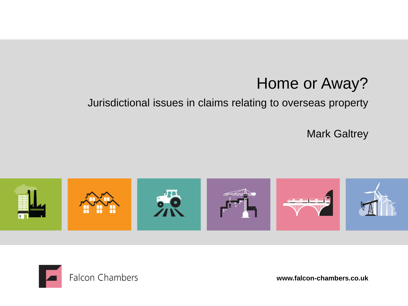## Home or Away?

#### Jurisdictional issues in claims relating to overseas property

Mark Galtrey





**www.falcon-chambers.co.uk**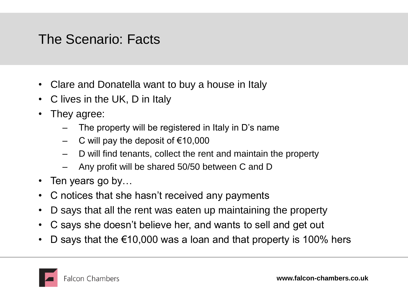#### The Scenario: Facts

- Clare and Donatella want to buy a house in Italy
- C lives in the UK, D in Italy
- They agree:
	- The property will be registered in Italy in D's name
	- C will pay the deposit of  $€10,000$
	- D will find tenants, collect the rent and maintain the property
	- Any profit will be shared 50/50 between C and D
- Ten years go by...
- C notices that she hasn't received any payments
- D says that all the rent was eaten up maintaining the property
- C says she doesn't believe her, and wants to sell and get out
- D says that the €10,000 was a loan and that property is 100% hers

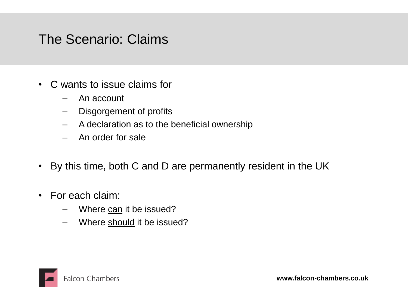#### The Scenario: Claims

- C wants to issue claims for
	- An account
	- Disgorgement of profits
	- A declaration as to the beneficial ownership
	- An order for sale
- By this time, both C and D are permanently resident in the UK
- For each claim:
	- Where can it be issued?
	- Where should it be issued?

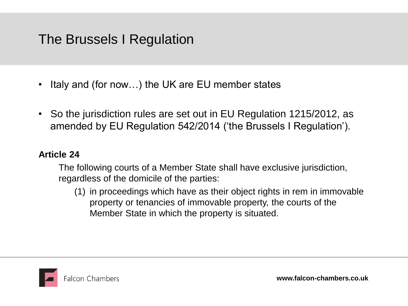#### The Brussels I Regulation

- Italy and (for now...) the UK are EU member states
- So the jurisdiction rules are set out in EU Regulation 1215/2012, as amended by EU Regulation 542/2014 ('the Brussels I Regulation').

#### **Article 24**

The following courts of a Member State shall have exclusive jurisdiction, regardless of the domicile of the parties:

(1) in proceedings which have as their object rights in rem in immovable property or tenancies of immovable property, the courts of the Member State in which the property is situated.

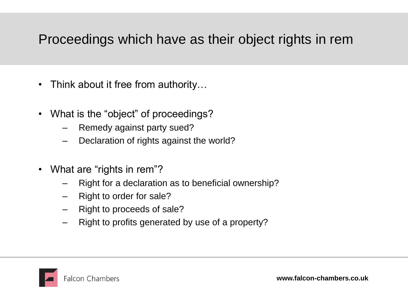#### Proceedings which have as their object rights in rem

- Think about it free from authority...
- What is the "object" of proceedings?
	- Remedy against party sued?
	- Declaration of rights against the world?
- What are "rights in rem"?
	- Right for a declaration as to beneficial ownership?
	- Right to order for sale?
	- Right to proceeds of sale?
	- Right to profits generated by use of a property?

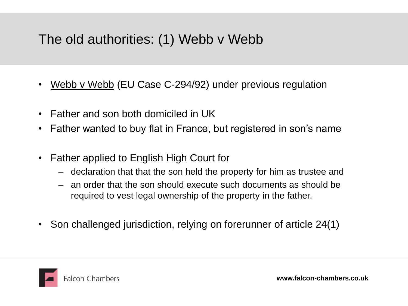## The old authorities: (1) Webb v Webb

- Webb v Webb (EU Case C-294/92) under previous regulation
- Father and son both domiciled in UK
- Father wanted to buy flat in France, but registered in son's name
- Father applied to English High Court for
	- declaration that that the son held the property for him as trustee and
	- an order that the son should execute such documents as should be required to vest legal ownership of the property in the father.
- Son challenged jurisdiction, relying on forerunner of article 24(1)

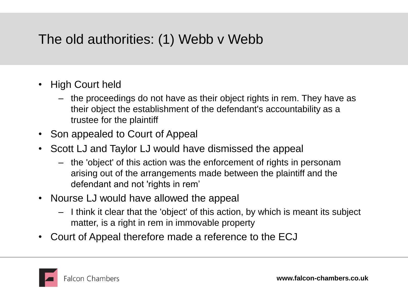## The old authorities: (1) Webb v Webb

- High Court held
	- the proceedings do not have as their object rights in rem. They have as their object the establishment of the defendant's accountability as a trustee for the plaintiff
- Son appealed to Court of Appeal
- Scott LJ and Taylor LJ would have dismissed the appeal
	- the 'object' of this action was the enforcement of rights in personam arising out of the arrangements made between the plaintiff and the defendant and not 'rights in rem'
- Nourse LJ would have allowed the appeal
	- I think it clear that the 'object' of this action, by which is meant its subject matter, is a right in rem in immovable property
- Court of Appeal therefore made a reference to the ECJ

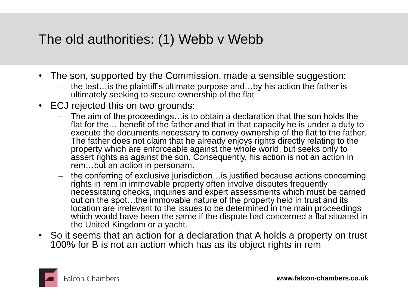#### The old authorities: (1) Webb v Webb

- The son, supported by the Commission, made a sensible suggestion:
	- the test…is the plaintiff's ultimate purpose and…by his action the father is ultimately seeking to secure ownership of the flat
- ECJ rejected this on two grounds:
	- The aim of the proceedings…is to obtain a declaration that the son holds the flat for the… benefit of the father and that in that capacity he is under a duty to execute the documents necessary to convey ownership of the flat to the father. The father does not claim that he already enjoys rights directly relating to the property which are enforceable against the whole world, but seeks only to assert rights as against the son. Consequently, his action is not an action in rem…but an action in personam.
	- the conferring of exclusive jurisdiction…is justified because actions concerning rights in rem in immovable property often involve disputes frequently necessitating checks, inquiries and expert assessments which must be carried out on the spot…the immovable nature of the property held in trust and its location are irrelevant to the issues to be determined in the main proceedings which would have been the same if the dispute had concerned a flat situated in the United Kingdom or a yacht.
- So it seems that an action for a declaration that A holds a property on trust 100% for B is not an action which has as its object rights in rem

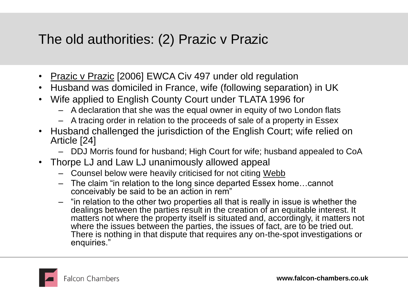## The old authorities: (2) Prazic v Prazic

- Prazic v Prazic [2006] EWCA Civ 497 under old regulation
- Husband was domiciled in France, wife (following separation) in UK
- Wife applied to English County Court under TLATA 1996 for
	- A declaration that she was the equal owner in equity of two London flats
	- A tracing order in relation to the proceeds of sale of a property in Essex
- Husband challenged the jurisdiction of the English Court; wife relied on Article [24]
	- DDJ Morris found for husband; High Court for wife; husband appealed to CoA
- Thorpe LJ and Law LJ unanimously allowed appeal
	- Counsel below were heavily criticised for not citing Webb
	- The claim "in relation to the long since departed Essex home…cannot conceivably be said to be an action in rem"
	- "in relation to the other two properties all that is really in issue is whether the dealings between the parties result in the creation of an equitable interest. It matters not where the property itself is situated and, accordingly, it matters not where the issues between the parties, the issues of fact, are to be tried out. There is nothing in that dispute that requires any on-the-spot investigations or enquiries."

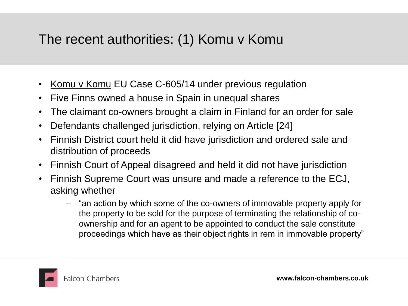#### The recent authorities: (1) Komu v Komu

- Komu v Komu EU Case C-605/14 under previous regulation
- Five Finns owned a house in Spain in unequal shares
- The claimant co-owners brought a claim in Finland for an order for sale
- Defendants challenged jurisdiction, relying on Article [24]
- Finnish District court held it did have jurisdiction and ordered sale and distribution of proceeds
- Finnish Court of Appeal disagreed and held it did not have jurisdiction
- Finnish Supreme Court was unsure and made a reference to the ECJ, asking whether
	- "an action by which some of the co-owners of immovable property apply for the property to be sold for the purpose of terminating the relationship of coownership and for an agent to be appointed to conduct the sale constitute proceedings which have as their object rights in rem in immovable property"

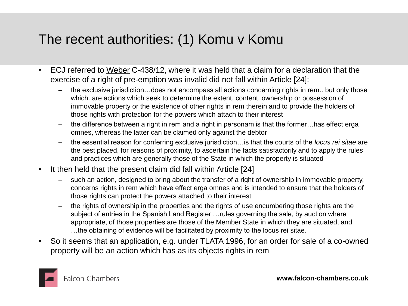#### The recent authorities: (1) Komu v Komu

- ECJ referred to Weber C-438/12, where it was held that a claim for a declaration that the exercise of a right of pre-emption was invalid did not fall within Article [24]:
	- the exclusive jurisdiction…does not encompass all actions concerning rights in rem.. but only those which..are actions which seek to determine the extent, content, ownership or possession of immovable property or the existence of other rights in rem therein and to provide the holders of those rights with protection for the powers which attach to their interest
	- the difference between a right in rem and a right in personam is that the former…has effect erga omnes, whereas the latter can be claimed only against the debtor
	- the essential reason for conferring exclusive jurisdiction…is that the courts of the *locus rei sitae* are the best placed, for reasons of proximity, to ascertain the facts satisfactorily and to apply the rules and practices which are generally those of the State in which the property is situated
- It then held that the present claim did fall within Article [24]
	- such an action, designed to bring about the transfer of a right of ownership in immovable property, concerns rights in rem which have effect erga omnes and is intended to ensure that the holders of those rights can protect the powers attached to their interest
	- the rights of ownership in the properties and the rights of use encumbering those rights are the subject of entries in the Spanish Land Register …rules governing the sale, by auction where appropriate, of those properties are those of the Member State in which they are situated, and …the obtaining of evidence will be facilitated by proximity to the locus rei sitae.
- So it seems that an application, e.g. under TLATA 1996, for an order for sale of a co-owned property will be an action which has as its objects rights in rem

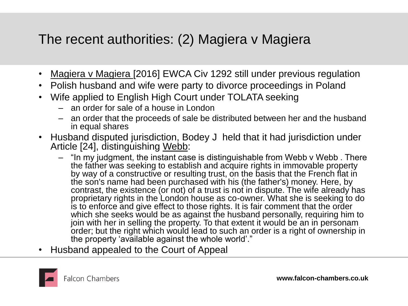#### The recent authorities: (2) Magiera v Magiera

- Magiera v Magiera [2016] EWCA Civ 1292 still under previous regulation
- Polish husband and wife were party to divorce proceedings in Poland
- Wife applied to English High Court under TOLATA seeking
	- an order for sale of a house in London
	- an order that the proceeds of sale be distributed between her and the husband in equal shares
- Husband disputed jurisdiction, Bodey J held that it had jurisdiction under Article [24], distinguishing Webb:
	- "In my judgment, the instant case is distinguishable from Webb v Webb . There the father was seeking to establish and acquire rights in immovable property by way of a constructive or resulting trust, on the basis that the French flat in the son's name had been purchased with his (the father's) money. Here, by contrast, the existence (or not) of a trust is not in dispute. The wife already has proprietary rights in the London house as co-owner. What she is seeking to do is to enforce and give effect to those rights. It is fair comment that the order which she seeks would be as against the husband personally, requiring him to join with her in selling the property. To that extent it would be an in personam order; but the right which would lead to such an order is a right of ownership in the property 'available against the whole world'."
- Husband appealed to the Court of Appeal

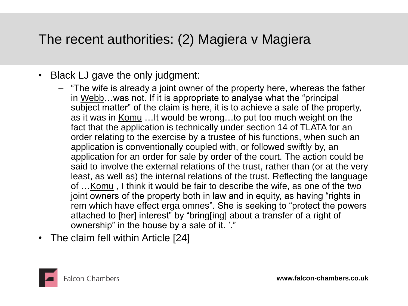#### The recent authorities: (2) Magiera v Magiera

- Black LJ gave the only judgment:
	- "The wife is already a joint owner of the property here, whereas the father in Webb…was not. If it is appropriate to analyse what the "principal subject matter" of the claim is here, it is to achieve a sale of the property, as it was in Komu …It would be wrong…to put too much weight on the fact that the application is technically under section 14 of TLATA for an order relating to the exercise by a trustee of his functions, when such an application is conventionally coupled with, or followed swiftly by, an application for an order for sale by order of the court. The action could be said to involve the external relations of the trust, rather than (or at the very least, as well as) the internal relations of the trust. Reflecting the language of …Komu , I think it would be fair to describe the wife, as one of the two joint owners of the property both in law and in equity, as having "rights in rem which have effect erga omnes". She is seeking to "protect the powers attached to [her] interest" by "bring[ing] about a transfer of a right of ownership" in the house by a sale of it. '."
- The claim fell within Article [24]

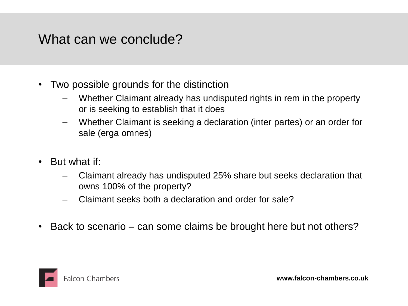#### What can we conclude?

- Two possible grounds for the distinction
	- Whether Claimant already has undisputed rights in rem in the property or is seeking to establish that it does
	- Whether Claimant is seeking a declaration (inter partes) or an order for sale (erga omnes)
- But what if:
	- Claimant already has undisputed 25% share but seeks declaration that owns 100% of the property?
	- Claimant seeks both a declaration and order for sale?
- Back to scenario can some claims be brought here but not others?

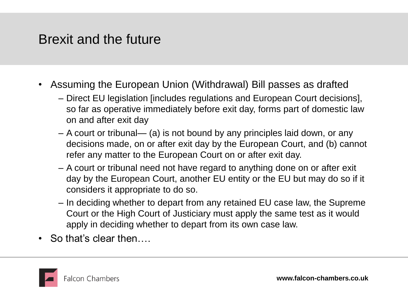#### Brexit and the future

- Assuming the European Union (Withdrawal) Bill passes as drafted
	- Direct EU legislation [includes regulations and European Court decisions], so far as operative immediately before exit day, forms part of domestic law on and after exit day
	- A court or tribunal— (a) is not bound by any principles laid down, or any decisions made, on or after exit day by the European Court, and (b) cannot refer any matter to the European Court on or after exit day.
	- A court or tribunal need not have regard to anything done on or after exit day by the European Court, another EU entity or the EU but may do so if it considers it appropriate to do so.
	- In deciding whether to depart from any retained EU case law, the Supreme Court or the High Court of Justiciary must apply the same test as it would apply in deciding whether to depart from its own case law.
- So that's clear then

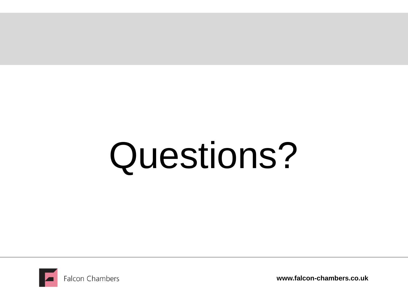# Questions?



**www.falcon-chambers.co.uk**